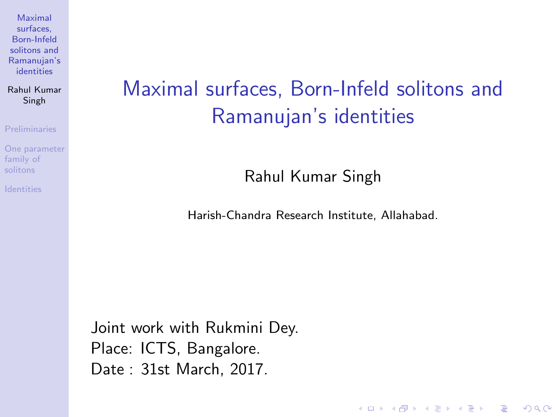Rahul Kumar Singh

[Preliminaries](#page-2-0)

[One parameter](#page-22-0) family of

## <span id="page-0-0"></span>Maximal surfaces, Born-Infeld solitons and Ramanujan's identities

Rahul Kumar Singh

Harish-Chandra Research Institute, Allahabad.

**KORK ERRY ABY DE YOUR** 

Joint work with Rukmini Dey. Place: ICTS, Bangalore. Date : 31st March, 2017.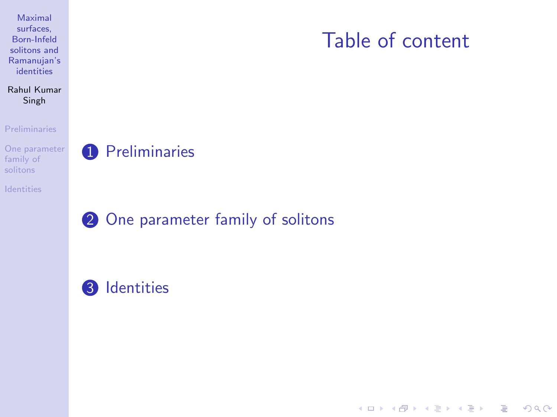### <span id="page-1-0"></span>Rahul Kumar Singh

### [Preliminaries](#page-2-0)

[One parameter](#page-22-0) family of

[Identities](#page-25-0)

### **1** [Preliminaries](#page-2-0)

**2** [One parameter family of solitons](#page-22-0)

### <sup>3</sup> [Identities](#page-25-0)

## Table of content

K ロ ▶ K @ ▶ K 할 > K 할 > 1 할 > 1 이익어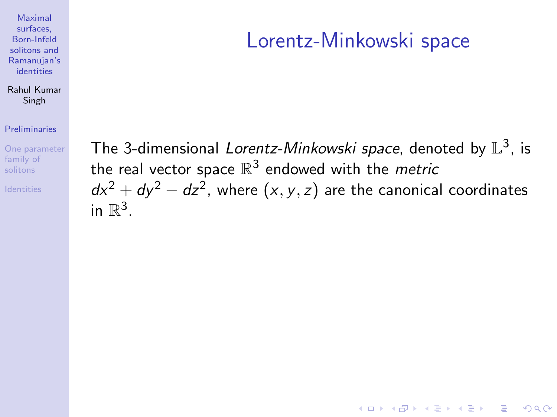### <span id="page-2-0"></span>Rahul Kumar Singh

### [Preliminaries](#page-2-0)

[One parameter](#page-22-0) family of

## Lorentz-Minkowski space

**KORK ERKER ADE YOUR** 

The 3-dimensional Lorentz-Minkowski space, denoted by  $\mathbb{L}^3$ , is the real vector space  $\mathbb{R}^3$  endowed with the *metric*  $dx^2 + dy^2 - dz^2$ , where  $(x, y, z)$  are the canonical coordinates in  $\mathbb{R}^3$ .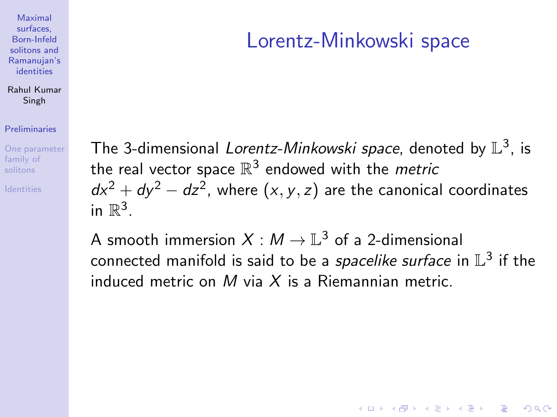### <span id="page-3-0"></span>Rahul Kumar Singh

### [Preliminaries](#page-2-0)

[One parameter](#page-22-0) family of

## Lorentz-Minkowski space

**KORK ERKER ADE YOUR** 

The 3-dimensional Lorentz-Minkowski space, denoted by  $\mathbb{L}^3$ , is the real vector space  $\mathbb{R}^3$  endowed with the *metric*  $dx^2 + dy^2 - dz^2$ , where  $(x, y, z)$  are the canonical coordinates in  $\mathbb{R}^3$ .

A smooth immersion  $X: M \to \mathbb{L}^3$  of a 2-dimensional connected manifold is said to be a *spacelike surface* in  $\mathbb{L}^3$  if the induced metric on M via  $X$  is a Riemannian metric.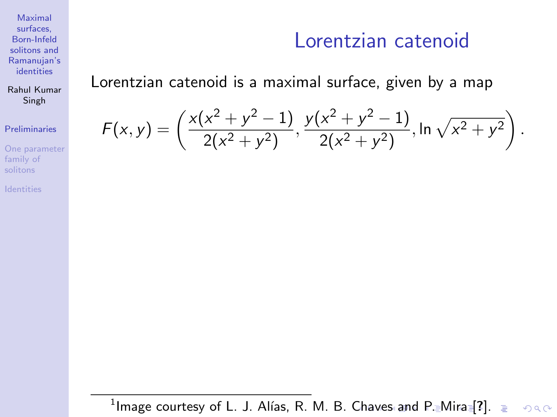Rahul Kumar Singh

### [Preliminaries](#page-2-0)

[One parameter](#page-22-0) family of

[Identities](#page-25-0)

### Lorentzian catenoid

### <span id="page-4-0"></span>Lorentzian catenoid is a maximal surface, given by a map

$$
F(x,y) = \left(\frac{x(x^2 + y^2 - 1)}{2(x^2 + y^2)}, \frac{y(x^2 + y^2 - 1)}{2(x^2 + y^2)}, \ln \sqrt{x^2 + y^2}\right).
$$

 $^1$ Image courtesy of L. J. Alías, R. M. B. [Ch](#page-3-0)a[ve](#page-5-0)[s](#page-3-0) [a](#page-4-0)[n](#page-5-0)[d](#page-6-0) [P](#page-1-0)[.](#page-2-0)[Mi](#page-22-0)[r](#page-1-0)[a](#page-2-0) [\[](#page-21-0)[?](#page-22-0)[\].](#page-0-0)  $2990$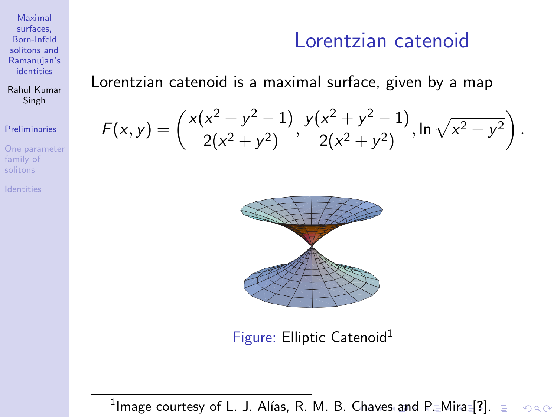Rahul Kumar Singh

### [Preliminaries](#page-2-0)

[One parameter](#page-22-0) family of

### Lorentzian catenoid

### <span id="page-5-0"></span>Lorentzian catenoid is a maximal surface, given by a map

$$
F(x,y) = \left(\frac{x(x^2 + y^2 - 1)}{2(x^2 + y^2)}, \frac{y(x^2 + y^2 - 1)}{2(x^2 + y^2)}, \ln \sqrt{x^2 + y^2}\right).
$$



Figure: Elliptic Catenoid<sup>1</sup>

 $^1$ Image courtesy of L. J. Alías, R. M. B. [Ch](#page-4-0)a[ve](#page-6-0)[s](#page-3-0) [a](#page-4-0)[n](#page-5-0)[d](#page-6-0) [P](#page-1-0)[.](#page-2-0)[Mi](#page-22-0)[r](#page-1-0)[a](#page-2-0) [\[](#page-21-0)[?](#page-22-0)[\].](#page-0-0)  $2990$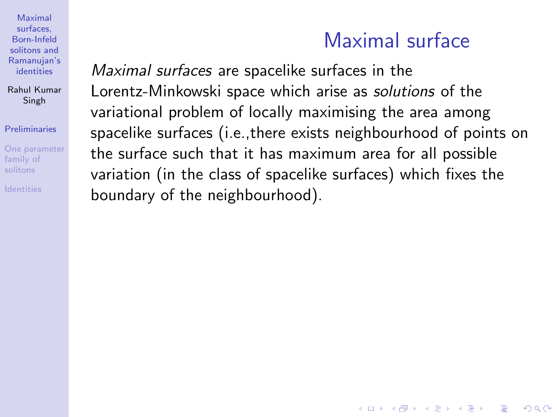Rahul Kumar Singh

[Preliminaries](#page-2-0)

[One parameter](#page-22-0) family of

<span id="page-6-1"></span>

## Maximal surface

**KORK STRATER STRAKER** 

<span id="page-6-0"></span>Maximal surfaces are spacelike surfaces in the Lorentz-Minkowski space which arise as solutions of the variational problem of locally maximising the area among spacelike surfaces (i.e.,there exists neighbourhood of points on the surface such that it has maximum area for all possible variation (in the class of spacelike surfaces) which fixes the boundary of the neighbourhood).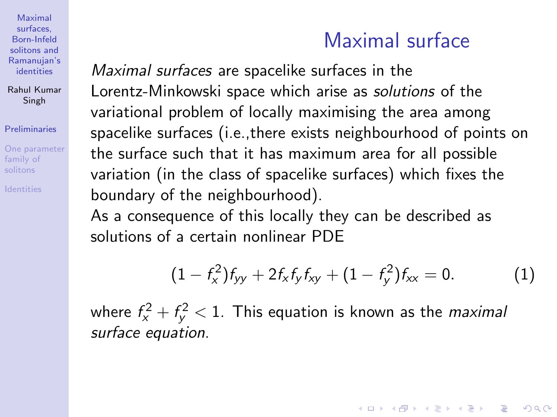Rahul Kumar Singh

#### [Preliminaries](#page-2-0)

[One parameter](#page-22-0) family of

## Maximal surface

Maximal surfaces are spacelike surfaces in the Lorentz-Minkowski space which arise as solutions of the variational problem of locally maximising the area among spacelike surfaces (i.e.,there exists neighbourhood of points on the surface such that it has maximum area for all possible variation (in the class of spacelike surfaces) which fixes the boundary of the neighbourhood).

As a consequence of this locally they can be described as solutions of a certain nonlinear PDE

$$
(1 - f_x^2) f_{yy} + 2f_x f_y f_{xy} + (1 - f_y^2) f_{xx} = 0.
$$
 (1)

**KORKAR KERKER EL VOLO** 

where  $f_{\mathsf{x}}^2 + f_{\mathsf{y}}^2 < 1$ . This equation is known as the *maximal* surface equation.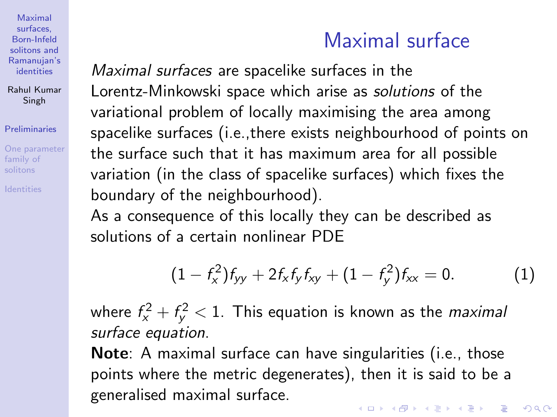Rahul Kumar Singh

### [Preliminaries](#page-2-0)

[One parameter](#page-22-0) family of

## Maximal surface

Maximal surfaces are spacelike surfaces in the Lorentz-Minkowski space which arise as solutions of the variational problem of locally maximising the area among spacelike surfaces (i.e.,there exists neighbourhood of points on the surface such that it has maximum area for all possible variation (in the class of spacelike surfaces) which fixes the boundary of the neighbourhood).

As a consequence of this locally they can be described as solutions of a certain nonlinear PDE

$$
(1 - f_x^2) f_{yy} + 2 f_x f_y f_{xy} + (1 - f_y^2) f_{xx} = 0.
$$
 (1)

where  $f_{\mathsf{x}}^2 + f_{\mathsf{y}}^2 < 1$ . This equation is known as the *maximal* surface equation.

Note: A maximal surface can have singularities (i.e., those points where the metric degenerates), then it is said to be a generalised maximal surface.4 D > 4 P + 4 B + 4 B + B + 9 Q O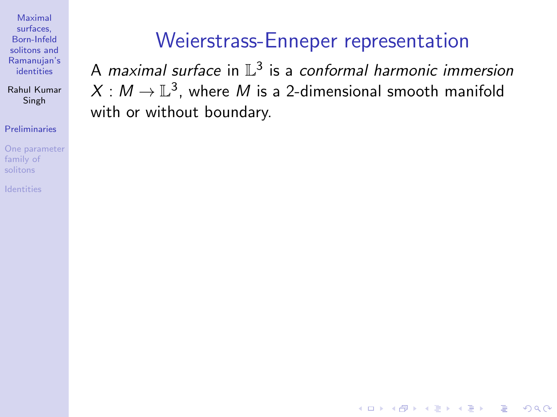Rahul Kumar Singh

### [Preliminaries](#page-2-0)

[One parameter](#page-22-0) family of

## Weierstrass-Enneper representation

A maximal surface in  $\mathbb{L}^3$  is a conformal harmonic immersion  $X: M \to \mathbb{L}^3$ , where  $M$  is a 2-dimensional smooth manifold with or without boundary.

**KORK STRATER STRAKER**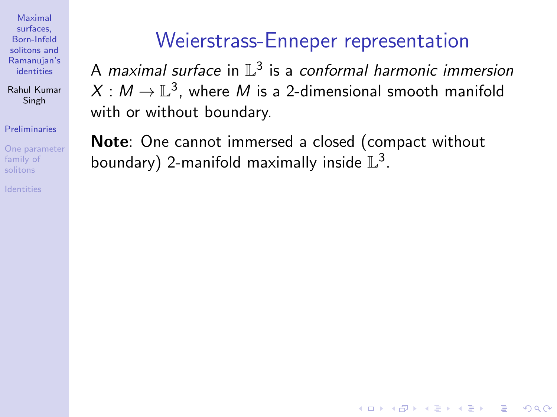Rahul Kumar Singh

[Preliminaries](#page-2-0)

[One parameter](#page-22-0) family of

## Weierstrass-Enneper representation

A maximal surface in  $\mathbb{L}^3$  is a conformal harmonic immersion  $X: M \to \mathbb{L}^3$ , where  $M$  is a 2-dimensional smooth manifold with or without boundary.

**KORK STRATER STRAKER** 

Note: One cannot immersed a closed (compact without boundary) 2-manifold maximally inside  $\mathbb{L}^3$ .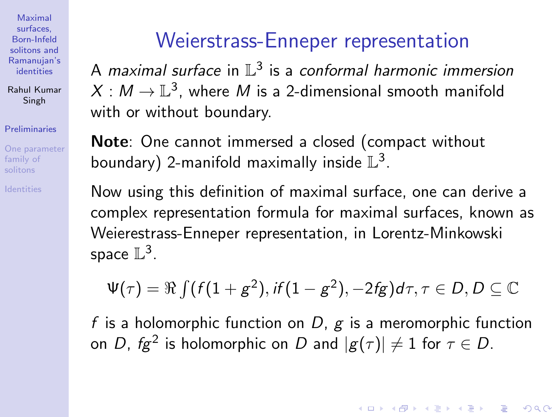Rahul Kumar Singh

### [Preliminaries](#page-2-0)

[One parameter](#page-22-0) family of

## Weierstrass-Enneper representation

A maximal surface in  $\mathbb{L}^3$  is a conformal harmonic immersion  $X: M \to \mathbb{L}^3$ , where  $M$  is a 2-dimensional smooth manifold with or without boundary.

Note: One cannot immersed a closed (compact without boundary) 2-manifold maximally inside  $\mathbb{L}^3$ .

Now using this definition of maximal surface, one can derive a complex representation formula for maximal surfaces, known as Weierestrass-Enneper representation, in Lorentz-Minkowski space  $\mathbb{L}^3$ .

$$
\Psi(\tau)=\Re\int(f(1+g^2),\textit{if}(1-g^2),-2\textit{fg})d\tau,\tau\in D,D\subseteq\mathbb{C}
$$

f is a holomorphic function on  $D$ ,  $g$  is a meromorphic function on  $D$ ,  $fg^2$  is holomorphic on  $D$  and  $|g(\tau)|\neq 1$  for  $\tau\in D.$ 

**KORK ERKER ADE YOUR**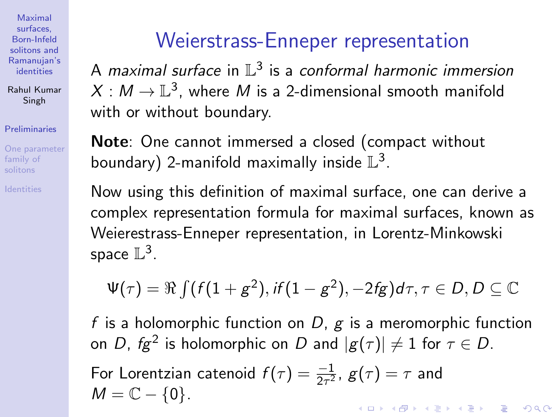Rahul Kumar Singh

### [Preliminaries](#page-2-0)

[One parameter](#page-22-0) family of

## Weierstrass-Enneper representation

A maximal surface in  $\mathbb{L}^3$  is a conformal harmonic immersion  $X: M \to \mathbb{L}^3$ , where  $M$  is a 2-dimensional smooth manifold with or without boundary.

Note: One cannot immersed a closed (compact without boundary) 2-manifold maximally inside  $\mathbb{L}^3$ .

Now using this definition of maximal surface, one can derive a complex representation formula for maximal surfaces, known as Weierestrass-Enneper representation, in Lorentz-Minkowski space  $\mathbb{L}^3$ .

$$
\Psi(\tau)=\Re\textstyle\int\textstyle\bigl(f(1+g^2),\textstyle\textstyle\textstyle\textstyle if(1-g^2),-2\textstyle\textstyle\textstyle\textstyle f\textstyle g\bigr)d\tau,\tau\in D,\textstyle D\subseteq\mathbb{C}
$$

f is a holomorphic function on  $D$ ,  $g$  is a meromorphic function on  $D$ ,  $fg^2$  is holomorphic on  $D$  and  $|g(\tau)|\neq 1$  for  $\tau\in D.$ 

For Lorentzian catenoid  $f(\tau)=\frac{-1}{2\tau^2}$ ,  $g(\tau)=\tau$  and  $M = \mathbb{C} - \{0\}.$ **KORKAR KERKER EL VOLO**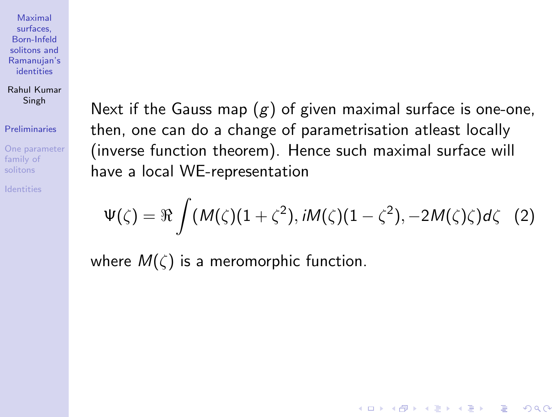Rahul Kumar Singh

### [Preliminaries](#page-2-0)

[One parameter](#page-22-0) family of

Next if the Gauss map  $(g)$  of given maximal surface is one-one, then, one can do a change of parametrisation atleast locally (inverse function theorem). Hence such maximal surface will have a local WE-representation

$$
\Psi(\zeta)=\Re\int (M(\zeta)(1+\zeta^2), iM(\zeta)(1-\zeta^2), -2M(\zeta)\zeta)d\zeta
$$
 (2)

**KORK ERKER ADE YOUR** 

where  $M(\zeta)$  is a meromorphic function.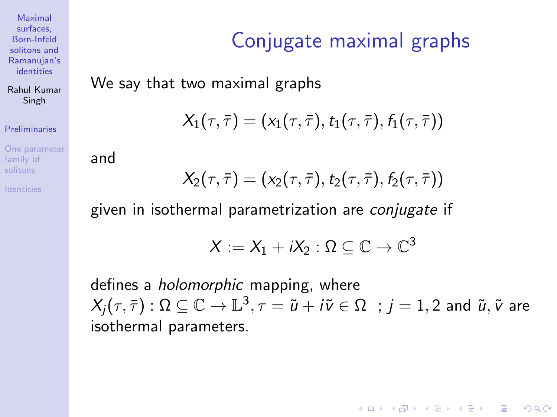Rahul Kumar Singh

[Preliminaries](#page-2-0)

[One parameter](#page-22-0) family of

# Conjugate maximal graphs

We say that two maximal graphs

$$
X_1(\tau,\bar\tau)=(x_1(\tau,\bar\tau),t_1(\tau,\bar\tau),f_1(\tau,\bar\tau))
$$

and

$$
X_2(\tau,\bar\tau)=(x_2(\tau,\bar\tau),t_2(\tau,\bar\tau),f_2(\tau,\bar\tau))
$$

given in isothermal parametrization are conjugate if

$$
X:=X_1+iX_2:\Omega\subseteq\mathbb{C}\to\mathbb{C}^3
$$

defines a holomorphic mapping, where  $\lambda_j(\tau,\bar{\tau}) : \Omega \subseteq \mathbb{C} \to \mathbb{L}^3$ ,  $\tau=\tilde{u}+i\tilde{v}\in \Omega \;\; ; \, j=1,2$  and  $\tilde{u},\tilde{v}$  are isothermal parameters.

**KORK ERKER ADE YOUR**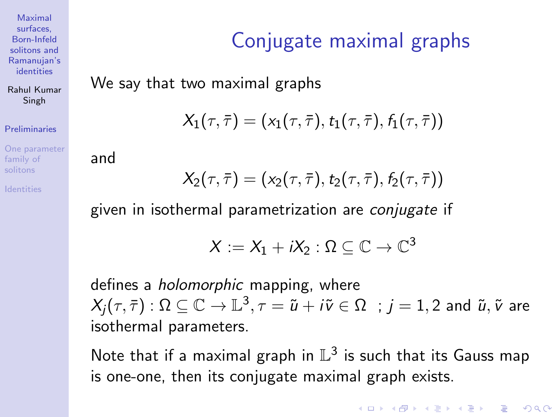Rahul Kumar Singh

[Preliminaries](#page-2-0)

[One parameter](#page-22-0) family of

# Conjugate maximal graphs

We say that two maximal graphs

$$
X_1(\tau,\bar\tau)=(x_1(\tau,\bar\tau),t_1(\tau,\bar\tau),f_1(\tau,\bar\tau))
$$

and

$$
X_2(\tau,\bar\tau)=(x_2(\tau,\bar\tau),t_2(\tau,\bar\tau),f_2(\tau,\bar\tau))
$$

given in isothermal parametrization are conjugate if

$$
X:=X_1+iX_2:\Omega\subseteq\mathbb{C}\to\mathbb{C}^3
$$

defines a holomorphic mapping, where  $\lambda_j(\tau,\bar{\tau}) : \Omega \subseteq \mathbb{C} \to \mathbb{L}^3$ ,  $\tau=\tilde{u}+i\tilde{v}\in \Omega \;\; ; \, j=1,2$  and  $\tilde{u},\tilde{v}$  are isothermal parameters.

Note that if a maximal graph in  $\mathbb{L}^3$  is such that its Gauss map is one-one, then its conjugate maximal graph exists.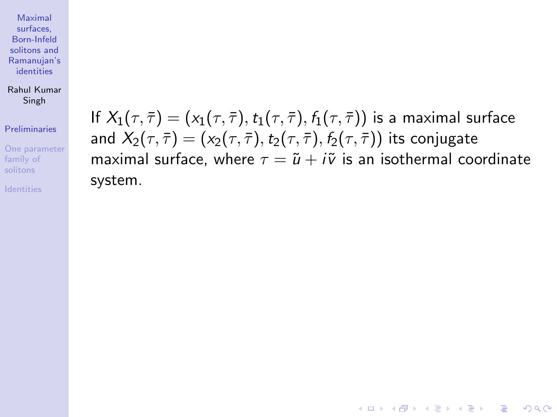Rahul Kumar Singh

### [Preliminaries](#page-2-0)

[One parameter](#page-22-0) family of

If  $X_1(\tau,\bar{\tau}) = (x_1(\tau,\bar{\tau}),t_1(\tau,\bar{\tau}),f_1(\tau,\bar{\tau}))$  is a maximal surface and  $X_2(\tau, \overline{\tau}) = (x_2(\tau, \overline{\tau}), t_2(\tau, \overline{\tau}), f_2(\tau, \overline{\tau}))$  its conjugate maximal surface, where  $\tau = \tilde{u} + i\tilde{v}$  is an isothermal coordinate system.

**KORK STRATER STRAKER**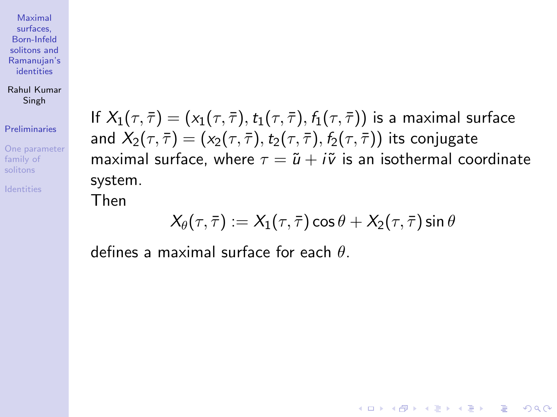Rahul Kumar Singh

[Preliminaries](#page-2-0)

[One parameter](#page-22-0) family of

If  $X_1(\tau,\bar{\tau}) = (x_1(\tau,\bar{\tau}),t_1(\tau,\bar{\tau}),f_1(\tau,\bar{\tau}))$  is a maximal surface and  $X_2(\tau, \overline{\tau}) = (x_2(\tau, \overline{\tau}), t_2(\tau, \overline{\tau}), f_2(\tau, \overline{\tau}))$  its conjugate maximal surface, where  $\tau = \tilde{u} + i\tilde{v}$  is an isothermal coordinate system.

Then

$$
X_{\theta}(\tau,\bar{\tau}) := X_1(\tau,\bar{\tau})\cos\theta + X_2(\tau,\bar{\tau})\sin\theta
$$

**KORK ERKER ADE YOUR** 

defines a maximal surface for each  $\theta$ .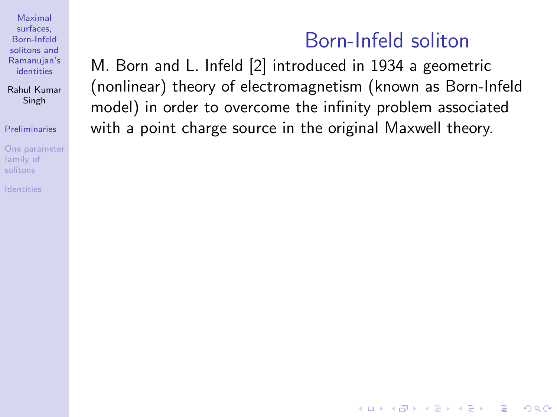Rahul Kumar Singh

### [Preliminaries](#page-2-0)

[One parameter](#page-22-0) family of

<span id="page-18-0"></span>

## Born-Infeld soliton

**KORK ERKER ADE YOUR** 

M. Born and L. Infeld [\[2\]](#page-32-1) introduced in 1934 a geometric (nonlinear) theory of electromagnetism (known as Born-Infeld model) in order to overcome the infinity problem associated with a point charge source in the original Maxwell theory.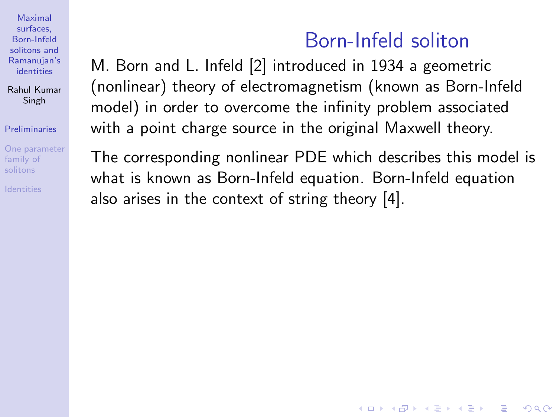Rahul Kumar Singh

### [Preliminaries](#page-2-0)

[One parameter](#page-22-0) family of

## Born-Infeld soliton

**KORK ERKER ADE YOUR** 

M. Born and L. Infeld [\[2\]](#page-32-1) introduced in 1934 a geometric (nonlinear) theory of electromagnetism (known as Born-Infeld model) in order to overcome the infinity problem associated with a point charge source in the original Maxwell theory.

The corresponding nonlinear PDE which describes this model is what is known as Born-Infeld equation. Born-Infeld equation also arises in the context of string theory [\[4\]](#page-32-2).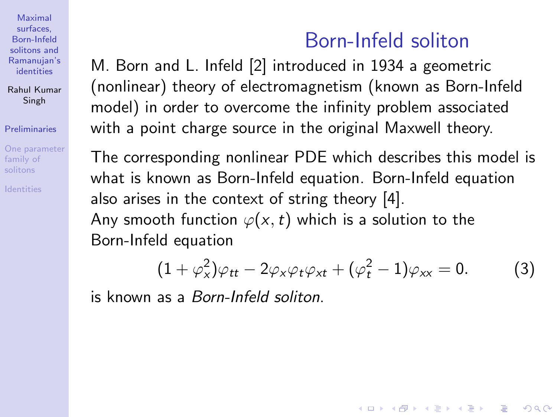Rahul Kumar Singh

### [Preliminaries](#page-2-0)

[One parameter](#page-22-0) family of

## Born-Infeld soliton

M. Born and L. Infeld [\[2\]](#page-32-1) introduced in 1934 a geometric (nonlinear) theory of electromagnetism (known as Born-Infeld model) in order to overcome the infinity problem associated with a point charge source in the original Maxwell theory.

The corresponding nonlinear PDE which describes this model is what is known as Born-Infeld equation. Born-Infeld equation also arises in the context of string theory [\[4\]](#page-32-2). Any smooth function  $\varphi(x,t)$  which is a solution to the Born-Infeld equation

$$
(1+\varphi_x^2)\varphi_{tt}-2\varphi_x\varphi_t\varphi_{xt}+(\varphi_t^2-1)\varphi_{xx}=0. \hspace{1cm} (3)
$$

**KORK ERKER ADE YOUR** 

is known as a Born-Infeld soliton.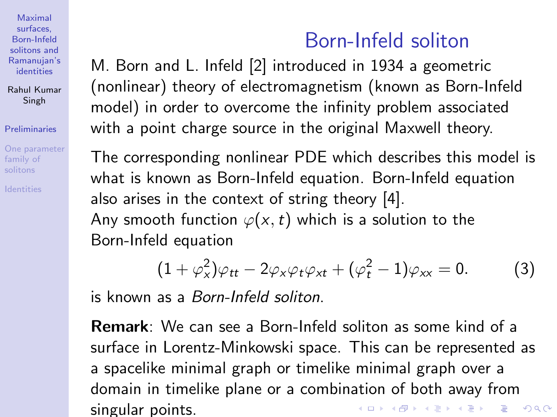Rahul Kumar Singh

### [Preliminaries](#page-2-0)

[One parameter](#page-22-0) family of solitons

## Born-Infeld soliton

<span id="page-21-0"></span>M. Born and L. Infeld [\[2\]](#page-32-1) introduced in 1934 a geometric (nonlinear) theory of electromagnetism (known as Born-Infeld model) in order to overcome the infinity problem associated with a point charge source in the original Maxwell theory.

The corresponding nonlinear PDE which describes this model is what is known as Born-Infeld equation. Born-Infeld equation also arises in the context of string theory [\[4\]](#page-32-2). Any smooth function  $\varphi(x,t)$  which is a solution to the Born-Infeld equation

$$
(1+\varphi_x^2)\varphi_{tt}-2\varphi_x\varphi_t\varphi_{xt}+(\varphi_t^2-1)\varphi_{xx}=0. \hspace{1cm} (3)
$$

is known as a Born-Infeld soliton.

Remark: We can see a Born-Infeld soliton as some kind of a surface in Lorentz-Minkowski space. This can be represented as a spacelike minimal graph or timelike minimal graph over a domain in timelike plane or a combination of both away from K ロ ▶ K @ ▶ K 할 > K 할 > 1 할 > 1 이익어 singular points.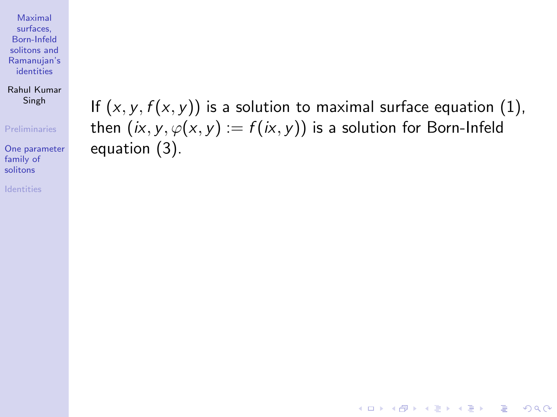Rahul Kumar Singh

#### [Preliminaries](#page-2-0)

[One parameter](#page-22-0) family of solitons

[Identities](#page-25-0)

<span id="page-22-0"></span>If  $(x, y, f(x, y))$  is a solution to maximal surface equation [\(1\)](#page-6-1), then  $(ix, y, \varphi(x, y) := f(ix, y))$  is a solution for Born-Infeld equation [\(3\)](#page-18-0).

**KORK STRATER STRAKER**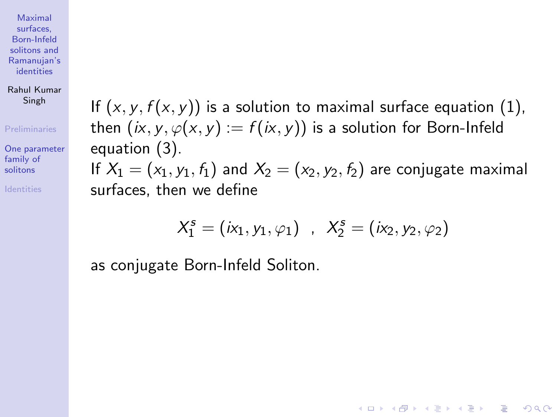Rahul Kumar Singh

[Preliminaries](#page-2-0)

[One parameter](#page-22-0) family of solitons

If  $(x, y, f(x, y))$  is a solution to maximal surface equation [\(1\)](#page-6-1), then  $(ix, y, \varphi(x, y) := f(ix, y))$  is a solution for Born-Infeld equation [\(3\)](#page-18-0).

If  $X_1 = (x_1, y_1, f_1)$  and  $X_2 = (x_2, y_2, f_2)$  are conjugate maximal surfaces, then we define

$$
X_1^s = (ix_1, y_1, \varphi_1) , X_2^s = (ix_2, y_2, \varphi_2)
$$

**KORK ERKER ADE YOUR** 

as conjugate Born-Infeld Soliton.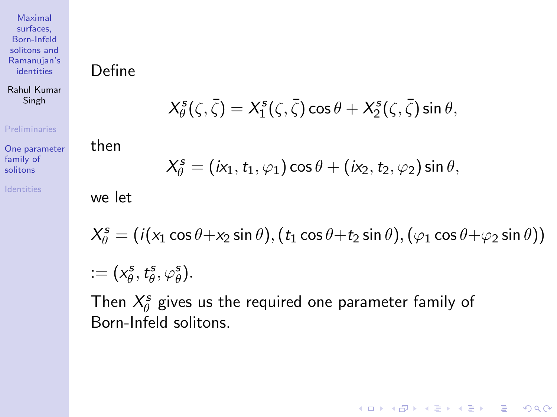<span id="page-24-0"></span>Define

Rahul Kumar Singh

$$
X^s_\theta(\zeta,\bar{\zeta})=X^s_1(\zeta,\bar{\zeta})\cos\theta+X^s_2(\zeta,\bar{\zeta})\sin\theta,
$$

#### [Preliminaries](#page-2-0)

[One parameter](#page-22-0) family of solitons

[Identities](#page-25-0)

 $X_{\theta}^{s} = (i x_1, t_1, \varphi_1) \cos \theta + (i x_2, t_2, \varphi_2) \sin \theta,$ 

we let

then

 $X_{\theta}^{s} = (i(x_1 \cos \theta + x_2 \sin \theta), (t_1 \cos \theta + t_2 \sin \theta), (\varphi_1 \cos \theta + \varphi_2 \sin \theta))$ 

**KORK ERKER ADE YOUR** 

$$
:=(x^s_\theta,t^s_\theta,\varphi^s_\theta).
$$

Then  $X^s_{\theta}$  gives us the required one parameter family of Born-Infeld solitons.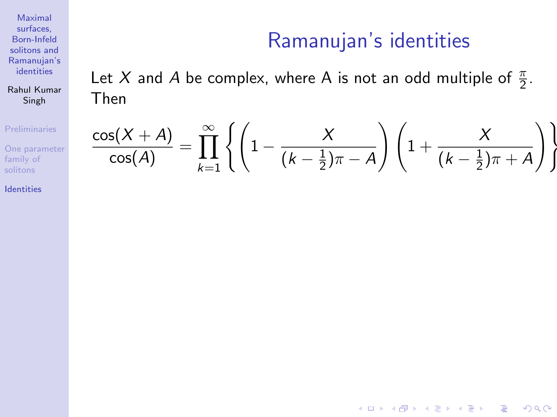Rahul Kumar Singh

[Preliminaries](#page-2-0)

[One parameter](#page-22-0) family of solitons

[Identities](#page-25-0)

## Ramanujan's identities

**KORK STRATER STRAKER** 

<span id="page-25-0"></span>Let X and A be complex, where A is not an odd multiple of  $\frac{\pi}{2}$ . Then

$$
\frac{\cos(X+A)}{\cos(A)} = \prod_{k=1}^{\infty} \left\{ \left( 1 - \frac{X}{(k-\frac{1}{2})\pi - A} \right) \left( 1 + \frac{X}{(k-\frac{1}{2})\pi + A} \right) \right\}
$$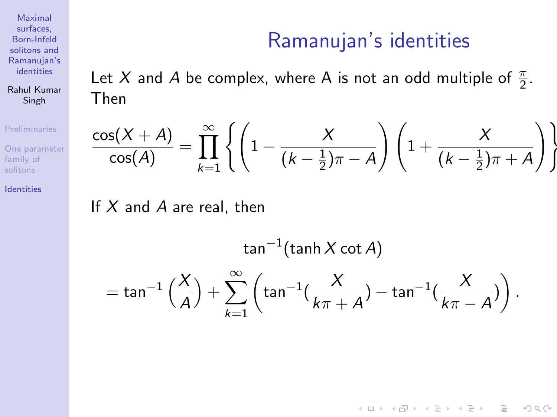Ramanujan's identities

**KORK ERKER ADE YOUR** 

Let X and A be complex, where A is not an odd multiple of  $\frac{\pi}{2}$ . Then

$$
\frac{\cos(X+A)}{\cos(A)} = \prod_{k=1}^{\infty} \left\{ \left( 1 - \frac{X}{(k-\frac{1}{2})\pi - A} \right) \left( 1 + \frac{X}{(k-\frac{1}{2})\pi + A} \right) \right\}
$$

If  $X$  and  $A$  are real, then

 $\tan^{-1}(\tanh X \cot A)$  $=$  tan<sup>-1</sup>  $\left(\frac{\lambda}{4}\right)$ A  $+\sum_{0}^{\infty}$  $k=1$  $\left(\tan^{-1}(\frac{X}{l})\right)$  $\frac{X}{k\pi + A}) - \tan^{-1}(\frac{X}{k\pi \frac{X}{k\pi - A})\bigg)$  .

Maximal surfaces, Born-Infeld solitons and [Ramanujan's](#page-0-0) identities

Rahul Kumar Singh

[Preliminaries](#page-2-0)

[One parameter](#page-22-0) family of

[Identities](#page-25-0)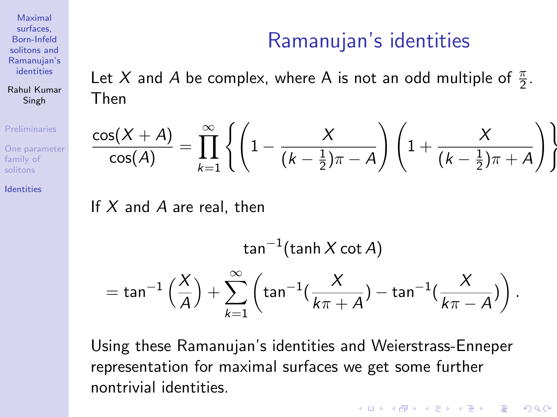Ramanujan's identities

Let X and A be complex, where A is not an odd multiple of  $\frac{\pi}{2}$ . Then

$$
\frac{\cos(X+A)}{\cos(A)} = \prod_{k=1}^{\infty} \left\{ \left( 1 - \frac{X}{(k-\frac{1}{2})\pi - A} \right) \left( 1 + \frac{X}{(k-\frac{1}{2})\pi + A} \right) \right\}
$$

If  $X$  and  $A$  are real, then

 $\tan^{-1}(\tanh X \cot A)$  $=$  tan<sup>-1</sup>  $\left(\frac{\lambda}{4}\right)$ A  $+\sum_{0}^{\infty}$  $k=1$  $\left(\tan^{-1}(\frac{X}{l})\right)$  $\frac{X}{k\pi + A}) - \tan^{-1}(\frac{X}{k\pi \frac{X}{k\pi - A})\bigg)$  .

Using these Ramanujan's identities and Weierstrass-Enneper representation for maximal surfaces we get some further nontrivial identities.

**KORK ERKER ADE YOUR** 

Maximal surfaces, Born-Infeld solitons and [Ramanujan's](#page-0-0) identities

Rahul Kumar Singh

[Preliminaries](#page-2-0)

[One parameter](#page-22-0) family of

[Identities](#page-25-0)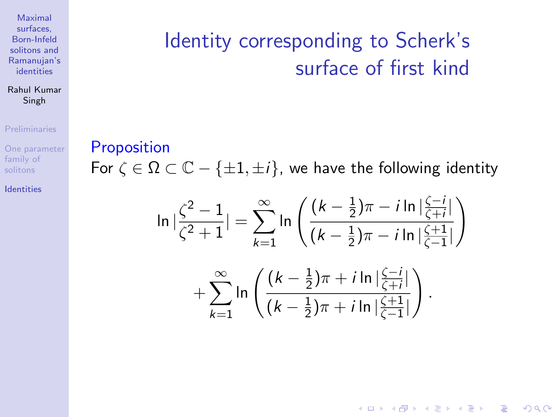### Rahul Kumar Singh

#### [Preliminaries](#page-2-0)

[One parameter](#page-22-0) family of

[Identities](#page-25-0)

# <span id="page-28-0"></span>Identity corresponding to Scherk's surface of first kind

**Proposition** For  $\zeta \in \Omega \subset \mathbb{C} - \{\pm 1, \pm i\}$ , we have the following identity

$$
\ln\left|\frac{\zeta^2 - 1}{\zeta^2 + 1}\right| = \sum_{k=1}^{\infty} \ln\left(\frac{(k - \frac{1}{2})\pi - i\ln\left|\frac{\zeta - i}{\zeta + i}\right|}{(k - \frac{1}{2})\pi - i\ln\left|\frac{\zeta + 1}{\zeta - 1}\right|}\right) + \sum_{k=1}^{\infty} \ln\left(\frac{(k - \frac{1}{2})\pi + i\ln\left|\frac{\zeta - i}{\zeta + i}\right|}{(k - \frac{1}{2})\pi + i\ln\left|\frac{\zeta + 1}{\zeta - 1}\right|}\right).
$$

**KORK ERKER ADE YOUR**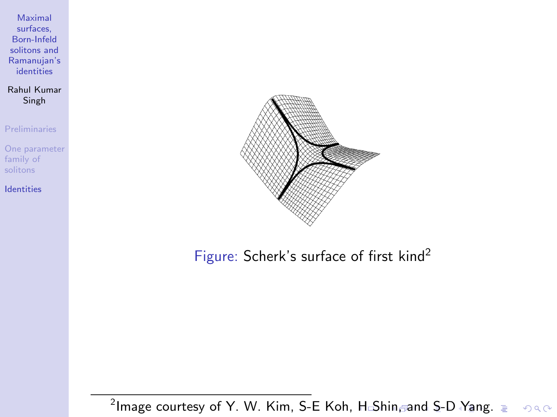<span id="page-29-0"></span>Rahul Kumar Singh

[Preliminaries](#page-2-0)

[One parameter](#page-22-0) family of solitons

[Identities](#page-25-0)



Figure: Scherk's surface of first kind<sup>2</sup>

 $^2$ Image courtesy of Y. W. Kim, S-E Koh, [H](#page-28-0) $\triangle$  $\triangle$  $\triangle$ [Sh](#page-30-0)[in](#page-28-0) $_{\mathbb{C}}$ an[d](#page-24-0) [S](#page-25-0)[-D](#page-32-0)[Y](#page-25-0)[ang](#page-32-0)[.](#page-0-0)  $290$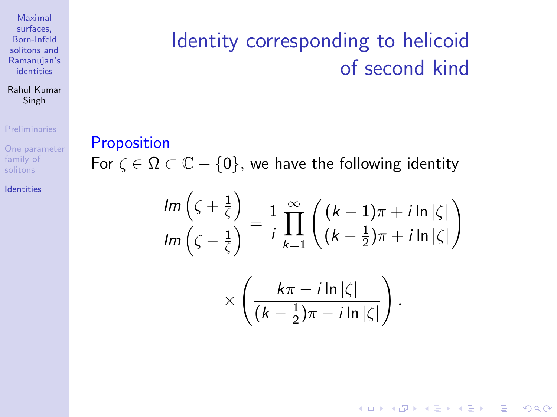### Rahul Kumar Singh

#### [Preliminaries](#page-2-0)

[One parameter](#page-22-0) family of

[Identities](#page-25-0)

# <span id="page-30-0"></span>Identity corresponding to helicoid of second kind

### **Proposition**

For  $\zeta \in \Omega \subset \mathbb{C} - \{0\}$ , we have the following identity

$$
\frac{\operatorname{Im}\left(\zeta+\frac{1}{\zeta}\right)}{\operatorname{Im}\left(\zeta-\frac{1}{\zeta}\right)} = \frac{1}{i} \prod_{k=1}^{\infty} \left( \frac{(k-1)\pi + i \ln|\zeta|}{(k-\frac{1}{2})\pi + i \ln|\zeta|} \right)
$$

$$
\times \left( \frac{k\pi - i \ln|\zeta|}{(k-\frac{1}{2})\pi - i \ln|\zeta|} \right).
$$

**KORK STRATER STRAKER**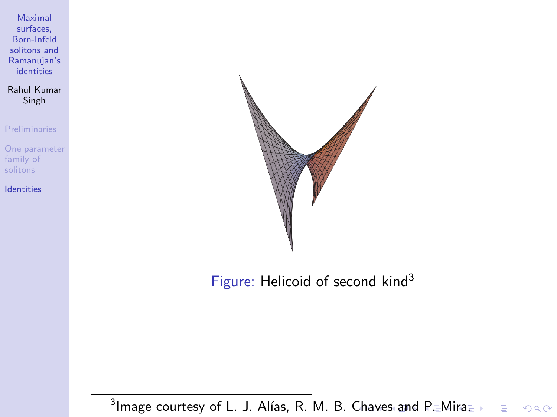<span id="page-31-0"></span>Rahul Kumar Singh

[Preliminaries](#page-2-0)

[One parameter](#page-22-0) family of solitons

[Identities](#page-25-0)



Figure: Helicoid of second kind<sup>3</sup>

 $^3$ Image courtesy of L. J. Alías, R. M. B. [Ch](#page-30-0)a[ve](#page-32-0)[s](#page-30-0) [an](#page-31-0)[d](#page-32-0) [P](#page-24-0)[.](#page-25-0) [Mi](#page-32-0)[r](#page-24-0)[a.](#page-25-0) Þ  $299$